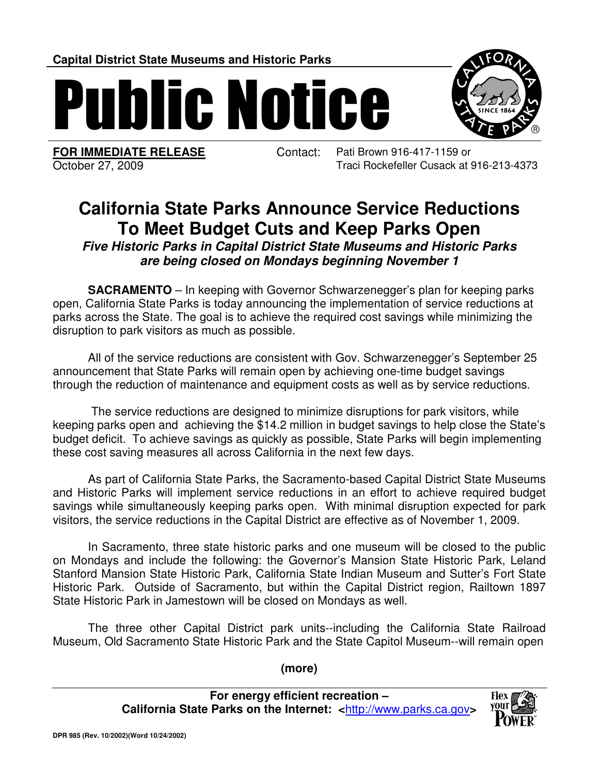**Capital District State Museums and Historic Parks**

Public Notice

l

**FOR IMMEDIATE RELEASE** Contact: Pati Brown 916-417-1159 or October 27, 2009 Traci Rockefeller Cusack at 916-213-4373

## **California State Parks Announce Service Reductions To Meet Budget Cuts and Keep Parks Open**

**Five Historic Parks in Capital District State Museums and Historic Parks are being closed on Mondays beginning November 1**

**SACRAMENTO** – In keeping with Governor Schwarzenegger's plan for keeping parks open, California State Parks is today announcing the implementation of service reductions at parks across the State. The goal is to achieve the required cost savings while minimizing the disruption to park visitors as much as possible.

 All of the service reductions are consistent with Gov. Schwarzenegger's September 25 announcement that State Parks will remain open by achieving one-time budget savings through the reduction of maintenance and equipment costs as well as by service reductions.

 The service reductions are designed to minimize disruptions for park visitors, while keeping parks open and achieving the \$14.2 million in budget savings to help close the State's budget deficit. To achieve savings as quickly as possible, State Parks will begin implementing these cost saving measures all across California in the next few days.

 As part of California State Parks, the Sacramento-based Capital District State Museums and Historic Parks will implement service reductions in an effort to achieve required budget savings while simultaneously keeping parks open. With minimal disruption expected for park visitors, the service reductions in the Capital District are effective as of November 1, 2009.

 In Sacramento, three state historic parks and one museum will be closed to the public on Mondays and include the following: the Governor's Mansion State Historic Park, Leland Stanford Mansion State Historic Park, California State Indian Museum and Sutter's Fort State Historic Park. Outside of Sacramento, but within the Capital District region, Railtown 1897 State Historic Park in Jamestown will be closed on Mondays as well.

 The three other Capital District park units--including the California State Railroad Museum, Old Sacramento State Historic Park and the State Capitol Museum--will remain open

**(more)**